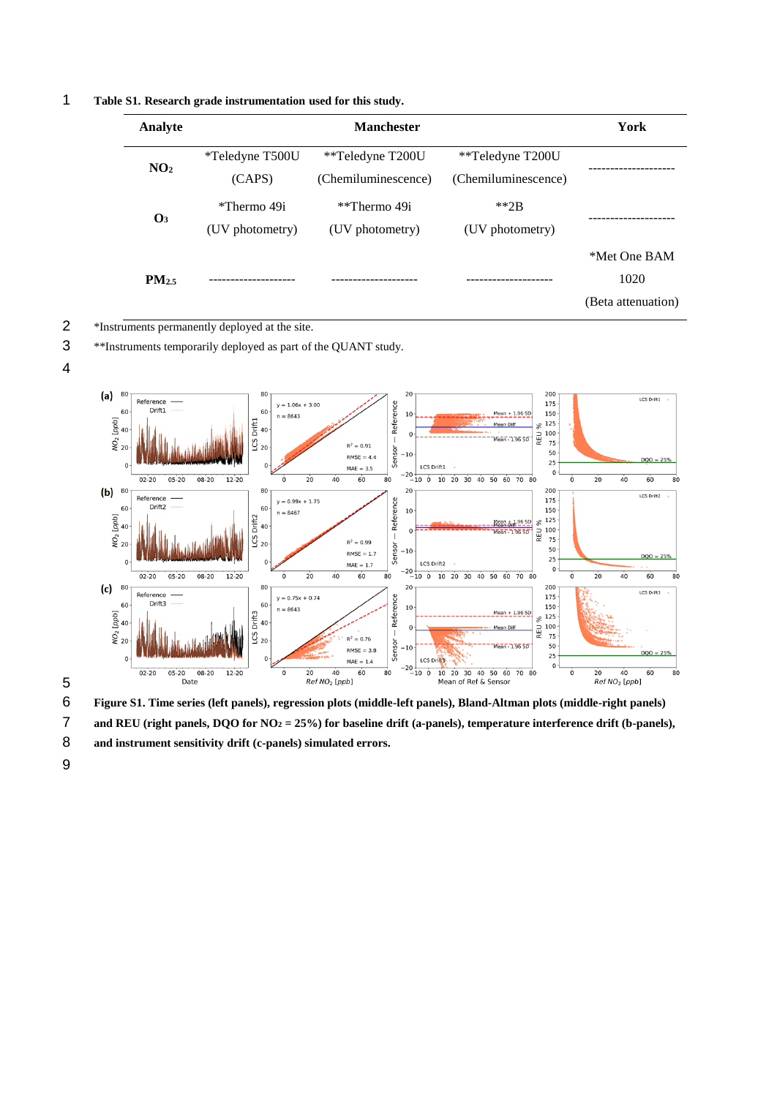## 1 **Table S1. Research grade instrumentation used for this study.**

| Analyte         |                        | <b>Manchester</b>   |                     | York               |
|-----------------|------------------------|---------------------|---------------------|--------------------|
| NO <sub>2</sub> | <i>*Teledyne T500U</i> | **Teledyne T200U    | **Teledyne T200U    |                    |
|                 | (CAPS)                 | (Chemiluminescence) | (Chemiluminescence) |                    |
| $\mathbf{O}_3$  | *Thermo 49i            | **Thermo 49i        | $*$ $*$ 2 R         | -----------        |
|                 | (UV photometry)        | (UV photometry)     | (UV photometry)     |                    |
| $PM_{2.5}$      |                        |                     |                     | *Met One BAM       |
|                 |                        |                     |                     | 1020               |
|                 |                        |                     |                     | (Beta attenuation) |

2 \*Instruments permanently deployed at the site.

3 \*\*Instruments temporarily deployed as part of the QUANT study.





5

6 **Figure S1. Time series (left panels), regression plots (middle-left panels), Bland-Altman plots (middle-right panels)** 

7 **and REU (right panels, DQO for NO<sup>2</sup> = 25%) for baseline drift (a-panels), temperature interference drift (b-panels),** 

- 8 **and instrument sensitivity drift (c-panels) simulated errors.**
- 9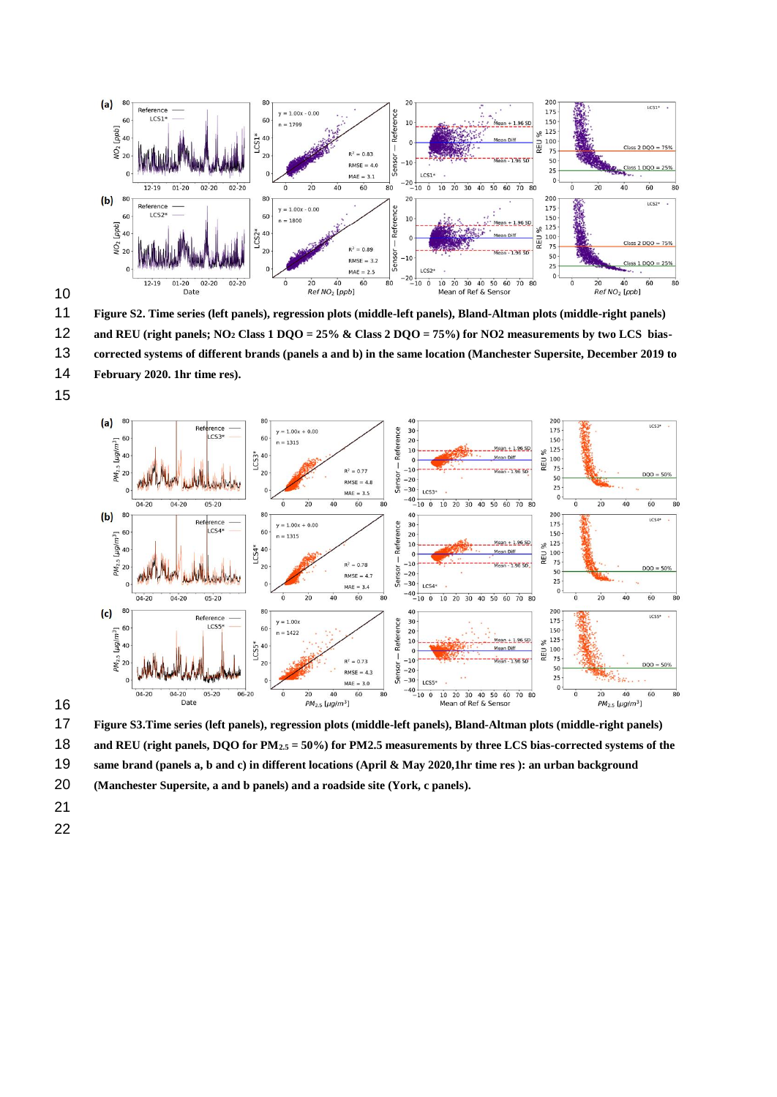



**Figure S2. Time series (left panels), regression plots (middle-left panels), Bland-Altman plots (middle-right panels)** 

- **and REU (right panels; NO<sup>2</sup> Class 1 DQO = 25% & Class 2 DQO = 75%) for NO2 measurements by two LCS bias-corrected systems of different brands (panels a and b) in the same location (Manchester Supersite, December 2019 to**
- **February 2020. 1hr time res).**
- 





**Figure S3.Time series (left panels), regression plots (middle-left panels), Bland-Altman plots (middle-right panels)** 

**and REU (right panels, DQO for PM2.5 = 50%) for PM2.5 measurements by three LCS bias-corrected systems of the** 

**same brand (panels a, b and c) in different locations (April & May 2020,1hr time res ): an urban background** 

**(Manchester Supersite, a and b panels) and a roadside site (York, c panels).**

- 
-